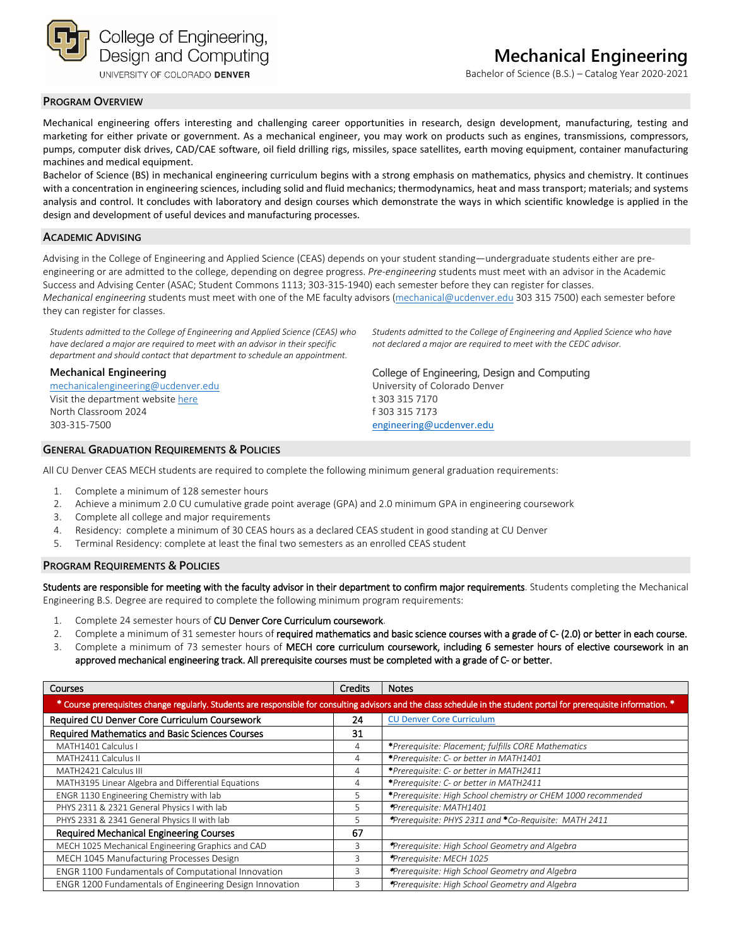

UNIVERSITY OF COLORADO DENVER

Bachelor of Science (B.S.) – Catalog Year 2020-2021

## **PROGRAM OVERVIEW**

Mechanical engineering offers interesting and challenging career opportunities in research, design development, manufacturing, testing and marketing for either private or government. As a mechanical engineer, you may work on products such as engines, transmissions, compressors, pumps, computer disk drives, CAD/CAE software, oil field drilling rigs, missiles, space satellites, earth moving equipment, container manufacturing machines and medical equipment.

Bachelor of Science (BS) in mechanical engineering curriculum begins with a strong emphasis on mathematics, physics and chemistry. It continues with a concentration in engineering sciences, including solid and fluid mechanics; thermodynamics, heat and mass transport; materials; and systems analysis and control. It concludes with laboratory and design courses which demonstrate the ways in which scientific knowledge is applied in the design and development of useful devices and manufacturing processes.

## **ACADEMIC ADVISING**

Advising in the College of Engineering and Applied Science (CEAS) depends on your student standing—undergraduate students either are preengineering or are admitted to the college, depending on degree progress. *Pre-engineering* students must meet with an advisor in the Academic Success and Advising Center (ASAC; Student Commons 1113; 303-315-1940) each semester before they can register for classes. *Mechanical engineering* students must meet with one of the ME faculty advisors [\(mechanical@ucdenver.edu](mailto:mechanical@ucdenver.edu) 303 315 7500) each semester before they can register for classes.

*Students admitted to the College of Engineering and Applied Science (CEAS) who have declared a major are required to meet with an advisor in their specific department and should contact that department to schedule an appointment.*

#### **Mechanical Engineering**

[mechanicalengineering@ucdenver.edu](mailto:mechanicalengineering@ucdenver.edu) Visit the department websit[e here](http://www.ucdenver.edu/ACADEMICS/COLLEGES/ENGINEERING/PROGRAMS/MECHANICAL-ENGINEERING/DEGREEPROGRAMS/Pages/BachelorofScience.aspx) North Classroom 2024 303-315-7500

#### **GENERAL GRADUATION REQUIREMENTS & POLICIES**

*Students admitted to the College of Engineering and Applied Science who have not declared a major are required to meet with the CEDC advisor.*

#### College of Engineering, Design and Computing

University of Colorado Denver t 303 315 7170 f 303 315 7173 [engineering@ucdenver.edu](mailto:petrina.morgan@ucdenver.edu)

All CU Denver CEAS MECH students are required to complete the following minimum general graduation requirements:

- 1. Complete a minimum of 128 semester hours
- 2. Achieve a minimum 2.0 CU cumulative grade point average (GPA) and 2.0 minimum GPA in engineering coursework
- 3. Complete all college and major requirements
- 4. Residency: complete a minimum of 30 CEAS hours as a declared CEAS student in good standing at CU Denver
- 5. Terminal Residency: complete at least the final two semesters as an enrolled CEAS student

#### **PROGRAM REQUIREMENTS & POLICIES**

Students are responsible for meeting with the faculty advisor in their department to confirm major requirements. Students completing the Mechanical Engineering B.S. Degree are required to complete the following minimum program requirements:

- 1. Complete 24 semester hours of CU Denver Core Curriculum coursework.
- 2. Complete a minimum of 31 semester hours of required mathematics and basic science courses with a grade of C- (2.0) or better in each course.
- 3. Complete a minimum of 73 semester hours of MECH core curriculum coursework, including 6 semester hours of elective coursework in an approved mechanical engineering track. All prerequisite courses must be completed with a grade of C- or better.

| <b>Courses</b>                                                                                                                                                         | Credits | <b>Notes</b>                                                  |  |  |  |  |
|------------------------------------------------------------------------------------------------------------------------------------------------------------------------|---------|---------------------------------------------------------------|--|--|--|--|
| * Course prerequisites change regularly. Students are responsible for consulting advisors and the class schedule in the student portal for prerequisite information. * |         |                                                               |  |  |  |  |
| Required CU Denver Core Curriculum Coursework                                                                                                                          | 24      | <b>CU Denver Core Curriculum</b>                              |  |  |  |  |
| Required Mathematics and Basic Sciences Courses                                                                                                                        | 31      |                                                               |  |  |  |  |
| MATH1401 Calculus I                                                                                                                                                    | 4       | *Prerequisite: Placement; fulfills CORE Mathematics           |  |  |  |  |
| MATH2411 Calculus II                                                                                                                                                   | 4       | *Prerequisite: C- or better in MATH1401                       |  |  |  |  |
| MATH2421 Calculus III                                                                                                                                                  | 4       | *Prerequisite: C- or better in MATH2411                       |  |  |  |  |
| MATH3195 Linear Algebra and Differential Equations                                                                                                                     | 4       | *Prerequisite: C- or better in MATH2411                       |  |  |  |  |
| ENGR 1130 Engineering Chemistry with lab                                                                                                                               | 5       | *Prerequisite: High School chemistry or CHEM 1000 recommended |  |  |  |  |
| PHYS 2311 & 2321 General Physics I with lab                                                                                                                            | 5       | *Prerequisite: MATH1401                                       |  |  |  |  |
| PHYS 2331 & 2341 General Physics II with lab                                                                                                                           | 5       | *Prerequisite: PHYS 2311 and *Co-Requisite: MATH 2411         |  |  |  |  |
| <b>Required Mechanical Engineering Courses</b>                                                                                                                         | 67      |                                                               |  |  |  |  |
| MECH 1025 Mechanical Engineering Graphics and CAD                                                                                                                      | 3       | *Prerequisite: High School Geometry and Algebra               |  |  |  |  |
| MECH 1045 Manufacturing Processes Design                                                                                                                               | 3       | *Prerequisite: MECH 1025                                      |  |  |  |  |
| ENGR 1100 Fundamentals of Computational Innovation                                                                                                                     | 3       | *Prerequisite: High School Geometry and Algebra               |  |  |  |  |
| <b>ENGR 1200 Fundamentals of Engineering Design Innovation</b>                                                                                                         | 3       | *Prerequisite: High School Geometry and Algebra               |  |  |  |  |